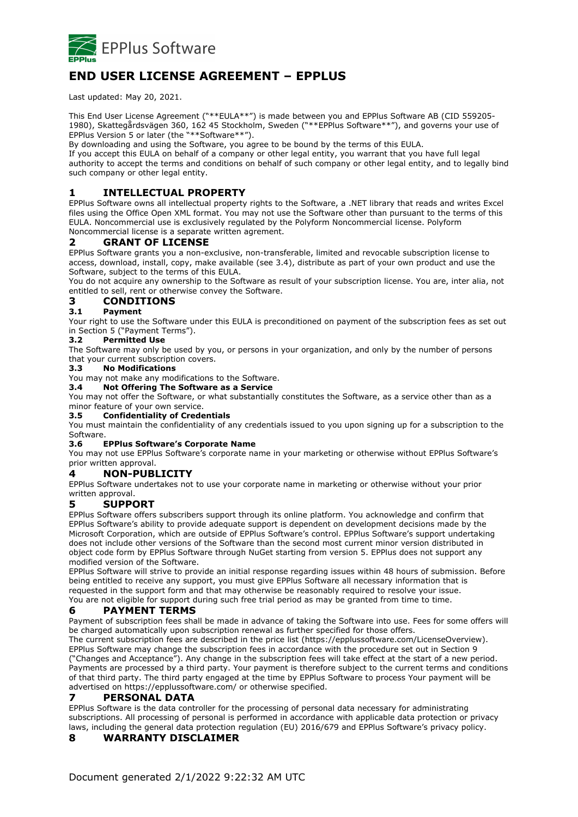

# **END USER LICENSE AGREEMENT – EPPLUS**

Last updated: May 20, 2021.

This End User License Agreement ("\*\*EULA\*\*") is made between you and EPPlus Software AB (CID 559205- 1980), Skattegårdsvägen 360, 162 45 Stockholm, Sweden ("\*\*EPPlus Software\*\*"), and governs your use of EPPlus Version 5 or later (the "\*\*Software\*\*").

By downloading and using the Software, you agree to be bound by the terms of this EULA.

If you accept this EULA on behalf of a company or other legal entity, you warrant that you have full legal authority to accept the terms and conditions on behalf of such company or other legal entity, and to legally bind such company or other legal entity.

# **1 INTELLECTUAL PROPERTY**

EPPlus Software owns all intellectual property rights to the Software, a .NET library that reads and writes Excel files using the Office Open XML format. You may not use the Software other than pursuant to the terms of this EULA. Noncommercial use is exclusively regulated by the Polyform Noncommercial license. Polyform Noncommercial license is a separate written agrement.

# **2 GRANT OF LICENSE**

EPPlus Software grants you a non-exclusive, non-transferable, limited and revocable subscription license to access, download, install, copy, make available (see 3.4), distribute as part of your own product and use the Software, subject to the terms of this EULA.

You do not acquire any ownership to the Software as result of your subscription license. You are, inter alia, not entitled to sell, rent or otherwise convey the Software.

# **3 CONDITIONS**

#### **3.1 Payment**

Your right to use the Software under this EULA is preconditioned on payment of the subscription fees as set out in Section 5 ("Payment Terms").

## **3.2 Permitted Use**

The Software may only be used by you, or persons in your organization, and only by the number of persons that your current subscription covers.

#### **3.3 No Modifications**

You may not make any modifications to the Software.

**3.4 Not Offering The Software as a Service**

You may not offer the Software, or what substantially constitutes the Software, as a service other than as a minor feature of your own service.

#### **3.5 Confidentiality of Credentials**

You must maintain the confidentiality of any credentials issued to you upon signing up for a subscription to the Software.

#### **3.6 EPPlus Software's Corporate Name**

You may not use EPPlus Software's corporate name in your marketing or otherwise without EPPlus Software's prior written approval.

#### **4 NON-PUBLICITY**

EPPlus Software undertakes not to use your corporate name in marketing or otherwise without your prior written approval.

## **5 SUPPORT**

EPPlus Software offers subscribers support through its online platform. You acknowledge and confirm that EPPlus Software's ability to provide adequate support is dependent on development decisions made by the Microsoft Corporation, which are outside of EPPlus Software's control. EPPlus Software's support undertaking does not include other versions of the Software than the second most current minor version distributed in object code form by EPPlus Software through NuGet starting from version 5. EPPlus does not support any modified version of the Software.

EPPlus Software will strive to provide an initial response regarding issues within 48 hours of submission. Before being entitled to receive any support, you must give EPPlus Software all necessary information that is requested in the support form and that may otherwise be reasonably required to resolve your issue. You are not eligible for support during such free trial period as may be granted from time to time.

## **6 PAYMENT TERMS**

Payment of subscription fees shall be made in advance of taking the Software into use. Fees for some offers will be charged automatically upon subscription renewal as further specified for those offers.

The current subscription fees are described in the price list (https://epplussoftware.com/LicenseOverview). EPPlus Software may change the subscription fees in accordance with the procedure set out in Section 9 ("Changes and Acceptance"). Any change in the subscription fees will take effect at the start of a new period. Payments are processed by a third party. Your payment is therefore subject to the current terms and conditions of that third party. The third party engaged at the time by EPPlus Software to process Your payment will be advertised on https://epplussoftware.com/ or otherwise specified.

## **7 PERSONAL DATA**

EPPlus Software is the data controller for the processing of personal data necessary for administrating subscriptions. All processing of personal is performed in accordance with applicable data protection or privacy laws, including the general data protection regulation (EU) 2016/679 and EPPlus Software's privacy policy.

## **8 WARRANTY DISCLAIMER**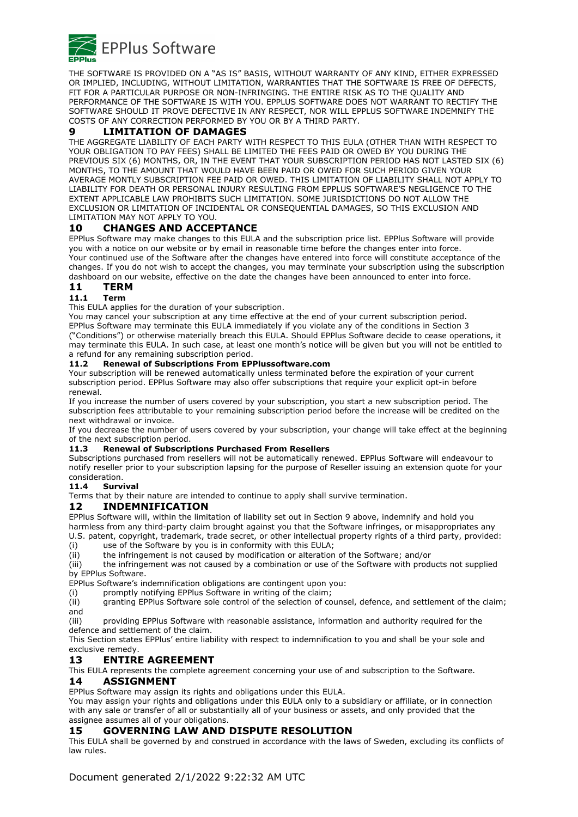

THE SOFTWARE IS PROVIDED ON A "AS IS" BASIS, WITHOUT WARRANTY OF ANY KIND, EITHER EXPRESSED OR IMPLIED, INCLUDING, WITHOUT LIMITATION, WARRANTIES THAT THE SOFTWARE IS FREE OF DEFECTS, FIT FOR A PARTICULAR PURPOSE OR NON-INFRINGING. THE ENTIRE RISK AS TO THE QUALITY AND PERFORMANCE OF THE SOFTWARE IS WITH YOU. EPPLUS SOFTWARE DOES NOT WARRANT TO RECTIFY THE SOFTWARE SHOULD IT PROVE DEFECTIVE IN ANY RESPECT, NOR WILL EPPLUS SOFTWARE INDEMNIFY THE COSTS OF ANY CORRECTION PERFORMED BY YOU OR BY A THIRD PARTY.

## **9 LIMITATION OF DAMAGES**

THE AGGREGATE LIABILITY OF EACH PARTY WITH RESPECT TO THIS EULA (OTHER THAN WITH RESPECT TO YOUR OBLIGATION TO PAY FEES) SHALL BE LIMITED THE FEES PAID OR OWED BY YOU DURING THE PREVIOUS SIX (6) MONTHS, OR, IN THE EVENT THAT YOUR SUBSCRIPTION PERIOD HAS NOT LASTED SIX (6) MONTHS, TO THE AMOUNT THAT WOULD HAVE BEEN PAID OR OWED FOR SUCH PERIOD GIVEN YOUR AVERAGE MONTLY SUBSCRIPTION FEE PAID OR OWED. THIS LIMITATION OF LIABILITY SHALL NOT APPLY TO LIABILITY FOR DEATH OR PERSONAL INJURY RESULTING FROM EPPLUS SOFTWARE'S NEGLIGENCE TO THE EXTENT APPLICABLE LAW PROHIBITS SUCH LIMITATION. SOME JURISDICTIONS DO NOT ALLOW THE EXCLUSION OR LIMITATION OF INCIDENTAL OR CONSEQUENTIAL DAMAGES, SO THIS EXCLUSION AND LIMITATION MAY NOT APPLY TO YOU.

# **10 CHANGES AND ACCEPTANCE**

EPPlus Software may make changes to this EULA and the subscription price list. EPPlus Software will provide you with a notice on our website or by email in reasonable time before the changes enter into force. Your continued use of the Software after the changes have entered into force will constitute acceptance of the changes. If you do not wish to accept the changes, you may terminate your subscription using the subscription dashboard on our website, effective on the date the changes have been announced to enter into force.

# **11 TERM**

# **11.1 Term**

This EULA applies for the duration of your subscription.

You may cancel your subscription at any time effective at the end of your current subscription period. EPPlus Software may terminate this EULA immediately if you violate any of the conditions in Section 3 ("Conditions") or otherwise materially breach this EULA. Should EPPlus Software decide to cease operations, it may terminate this EULA. In such case, at least one month's notice will be given but you will not be entitled to a refund for any remaining subscription period.

#### **11.2 Renewal of Subscriptions From EPPlussoftware.com**

Your subscription will be renewed automatically unless terminated before the expiration of your current subscription period. EPPlus Software may also offer subscriptions that require your explicit opt-in before renewal.

If you increase the number of users covered by your subscription, you start a new subscription period. The subscription fees attributable to your remaining subscription period before the increase will be credited on the next withdrawal or invoice.

If you decrease the number of users covered by your subscription, your change will take effect at the beginning of the next subscription period.

#### **11.3 Renewal of Subscriptions Purchased From Resellers**

Subscriptions purchased from resellers will not be automatically renewed. EPPlus Software will endeavour to notify reseller prior to your subscription lapsing for the purpose of Reseller issuing an extension quote for your consideration.

## **11.4 Survival**

Terms that by their nature are intended to continue to apply shall survive termination.

## **12 INDEMNIFICATION**

EPPlus Software will, within the limitation of liability set out in Section 9 above, indemnify and hold you harmless from any third-party claim brought against you that the Software infringes, or misappropriates any U.S. patent, copyright, trademark, trade secret, or other intellectual property rights of a third party, provided:

(i) use of the Software by you is in conformity with this EULA;

(ii) the infringement is not caused by modification or alteration of the Software; and/or

(iii) the infringement was not caused by a combination or use of the Software with products not supplied by EPPlus Software.

EPPlus Software's indemnification obligations are contingent upon you:

(i) promptly notifying EPPlus Software in writing of the claim;

(ii) granting EPPlus Software sole control of the selection of counsel, defence, and settlement of the claim; and

(iii) providing EPPlus Software with reasonable assistance, information and authority required for the defence and settlement of the claim.

This Section states EPPlus' entire liability with respect to indemnification to you and shall be your sole and exclusive remedy.

## **13 ENTIRE AGREEMENT**

This EULA represents the complete agreement concerning your use of and subscription to the Software. **14 ASSIGNMENT**

EPPlus Software may assign its rights and obligations under this EULA.

You may assign your rights and obligations under this EULA only to a subsidiary or affiliate, or in connection with any sale or transfer of all or substantially all of your business or assets, and only provided that the assignee assumes all of your obligations.

## **15 GOVERNING LAW AND DISPUTE RESOLUTION**

This EULA shall be governed by and construed in accordance with the laws of Sweden, excluding its conflicts of law rules.